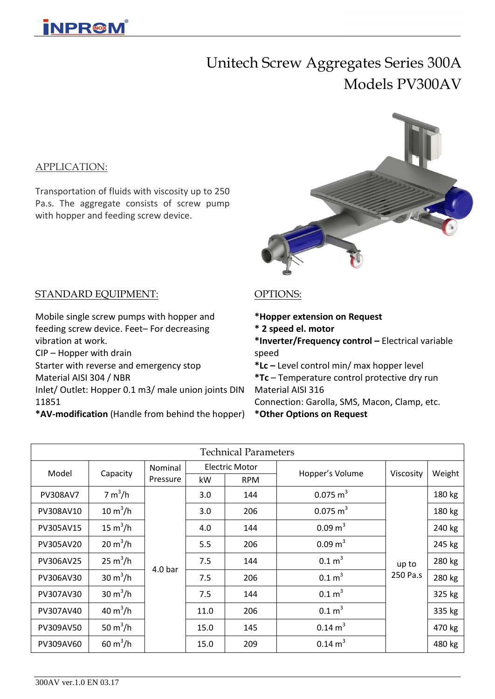# Unitech Screw Aggregates Series 300A Models PV300AV

#### APPLICATION:

Transportation of fluids with viscosity up to 250 Pa.s. The aggregate consists of screw pump with hopper and feeding screw device.



#### STANDARD EQUIPMENT:

Mobile single screw pumps with hopper and feeding screw device. Feet– For decreasing vibration at work.

CIP – Hopper with drain

Starter with reverse and emergency stop Material AISI 304 / NBR

Inlet/ Outlet: Hopper 0.1 m3/ male union joints DIN 11851

**\*AV-modification** (Handle from behind the hopper)

### OPTIONS:

- **\*Hopper extension on Request**
- **\* 2 speed el. motor**
- **\*Inverter/Frequency control –** Electrical variable speed

**\*Lc –** Level control min/ max hopper level **\*Tc** – Temperature control protective dry run Material AISI 316 Connection: Garolla, SMS, Macon, Clamp, etc.

**\*Other Options on Request**

| <b>Technical Parameters</b> |                           |                    |                       |            |                     |           |        |  |  |  |
|-----------------------------|---------------------------|--------------------|-----------------------|------------|---------------------|-----------|--------|--|--|--|
| Model                       | Capacity                  | Nominal            | <b>Electric Motor</b> |            | Hopper's Volume     | Viscosity | Weight |  |  |  |
|                             |                           | Pressure           | kW                    | <b>RPM</b> |                     |           |        |  |  |  |
| <b>PV308AV7</b>             | 7 m <sup>3</sup> /h       | 4.0 <sub>bar</sub> | 3.0                   | 144        | $0.075 \text{ m}^3$ |           | 180 kg |  |  |  |
| PV308AV10                   | $10 \text{ m}^3/h$        |                    | 3.0                   | 206        | $0.075 \text{ m}^3$ |           | 180 kg |  |  |  |
| PV305AV15                   | 15 $m^3/h$                |                    | 4.0                   | 144        | $0.09 \text{ m}^3$  |           | 240 kg |  |  |  |
| PV305AV20                   | $20 \text{ m}^3/h$        |                    | 5.5                   | 206        | $0.09 \text{ m}^3$  |           | 245 kg |  |  |  |
| PV306AV25                   | $25 \text{ m}^3/h$        |                    | 7.5                   | 144        | 0.1 m <sup>3</sup>  | up to     | 280 kg |  |  |  |
| PV306AV30                   | $30 \text{ m}^3/\text{h}$ |                    | 7.5                   | 206        | 0.1 m <sup>3</sup>  | 250 Pa.s  | 280 kg |  |  |  |
| PV307AV30                   | $30 \text{ m}^3/h$        |                    | 7.5                   | 144        | 0.1 m <sup>3</sup>  |           | 325 kg |  |  |  |
| PV307AV40                   | 40 $m^3/h$                |                    | 11.0                  | 206        | 0.1 m <sup>3</sup>  |           | 335 kg |  |  |  |
| PV309AV50                   | 50 $m^3/h$                |                    | 15.0                  | 145        | $0.14 \text{ m}^3$  |           | 470 kg |  |  |  |
| PV309AV60                   | $60 \text{ m}^3/h$        |                    | 15.0                  | 209        | $0.14 \text{ m}^3$  |           | 480 kg |  |  |  |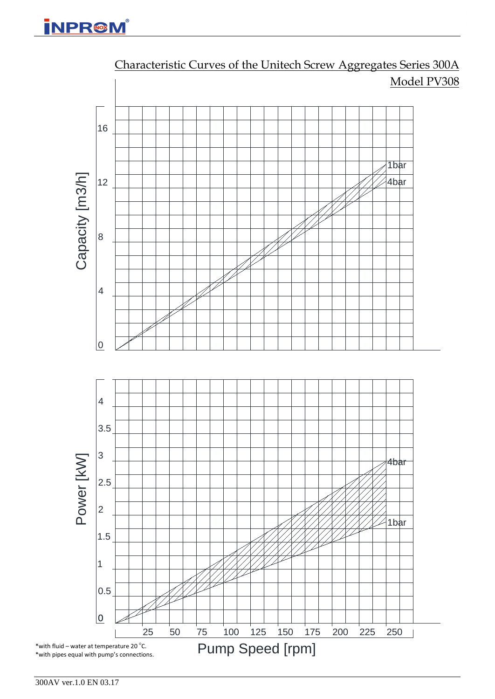

Characteristic Curves of the Unitech Screw Aggregates Series 300A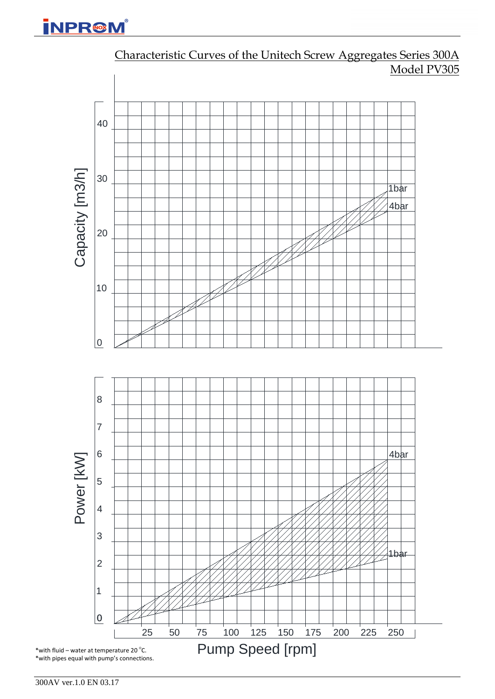**INPR@M** 



## Characteristic Curves of the Unitech Screw Aggregates Series 300A Model PV305

300AV ver.1.0 EN 03.17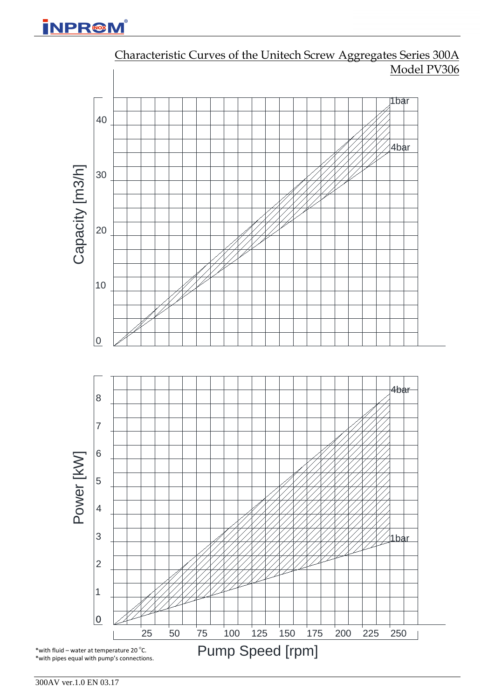**İNPR@M** 



# Characteristic Curves of the Unitech Screw Aggregates Series 300A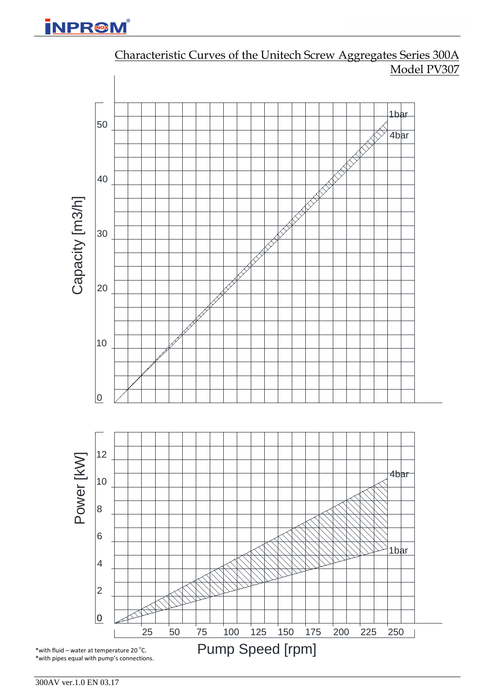# **iNPR@M**



Characteristic Curves of the Unitech Screw Aggregates Series 300A Model PV307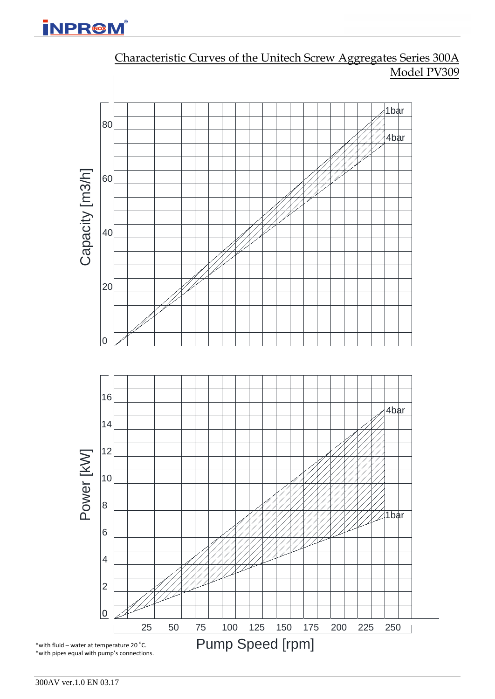**İNPR@M** 



Characteristic Curves of the Unitech Screw Aggregates Series 300A Model PV309